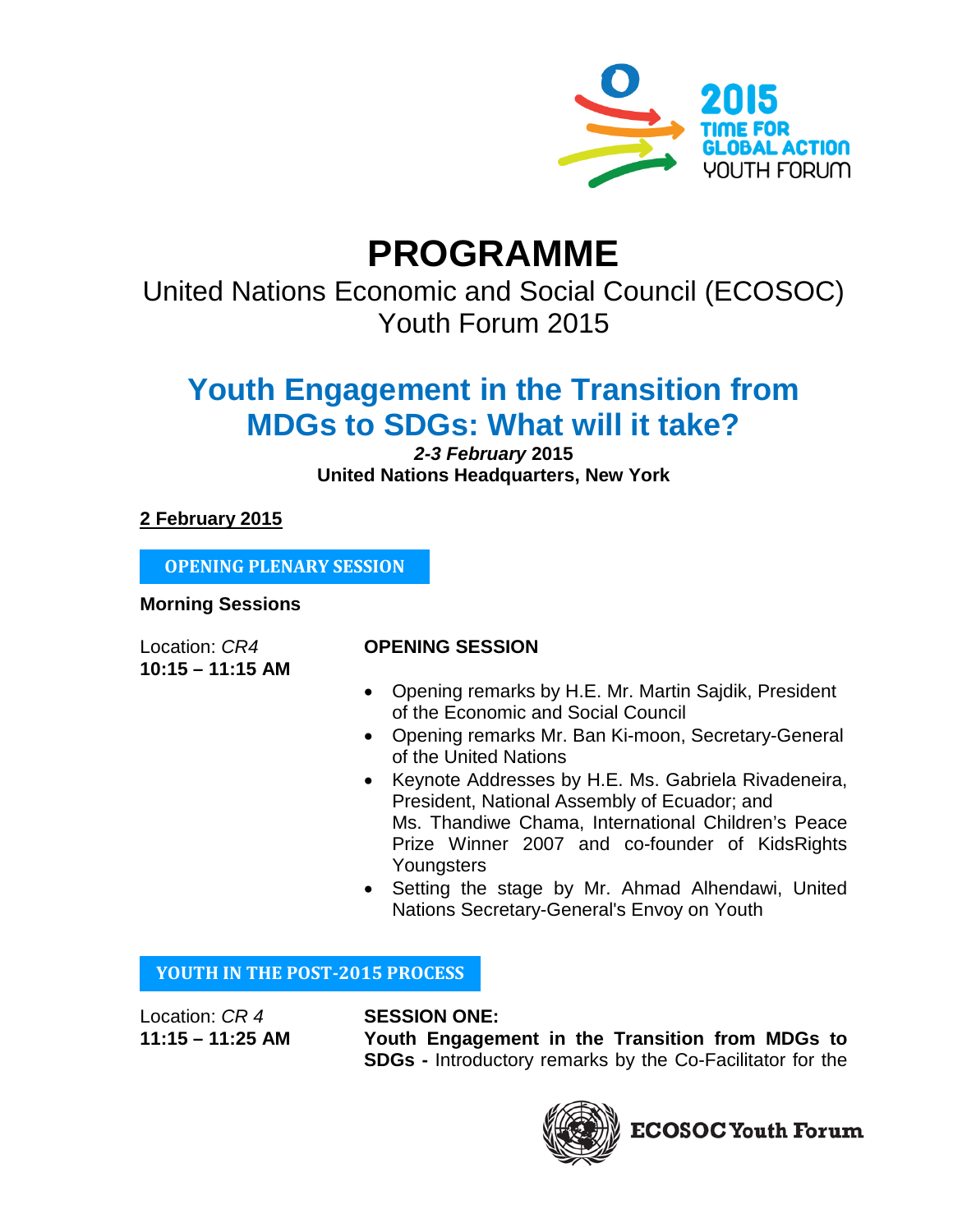

# **PROGRAMME**

United Nations Economic and Social Council (ECOSOC) Youth Forum 2015

# **Youth Engagement in the Transition from MDGs to SDGs: What will it take?**

# *2-3 February* **2015 United Nations Headquarters, New York**

**2 February 2015**

**OPENING PLENARY SESSION**

## **Morning Sessions**

**10:15 – 11:15 AM**

# Location: *CR4* **OPENING SESSION**

- Opening remarks by H.E. Mr. Martin Sajdik, President of the Economic and Social Council
- Opening remarks Mr. Ban Ki-moon, Secretary-General of the United Nations
- Keynote Addresses by H.E. Ms. Gabriela Rivadeneira, President, National Assembly of Ecuador; and Ms. Thandiwe Chama, International Children's Peace Prize Winner 2007 and co-founder of KidsRights **Youngsters**
- Setting the stage by Mr. Ahmad Alhendawi, United Nations Secretary-General's Envoy on Youth

# **YOUTH IN THE POST-2015 PROCESS**

Location: *CR 4* **SESSION ONE:** 

**11:15 – 11:25 AM Youth Engagement in the Transition from MDGs to SDGs -** Introductory remarks by the Co-Facilitator for the

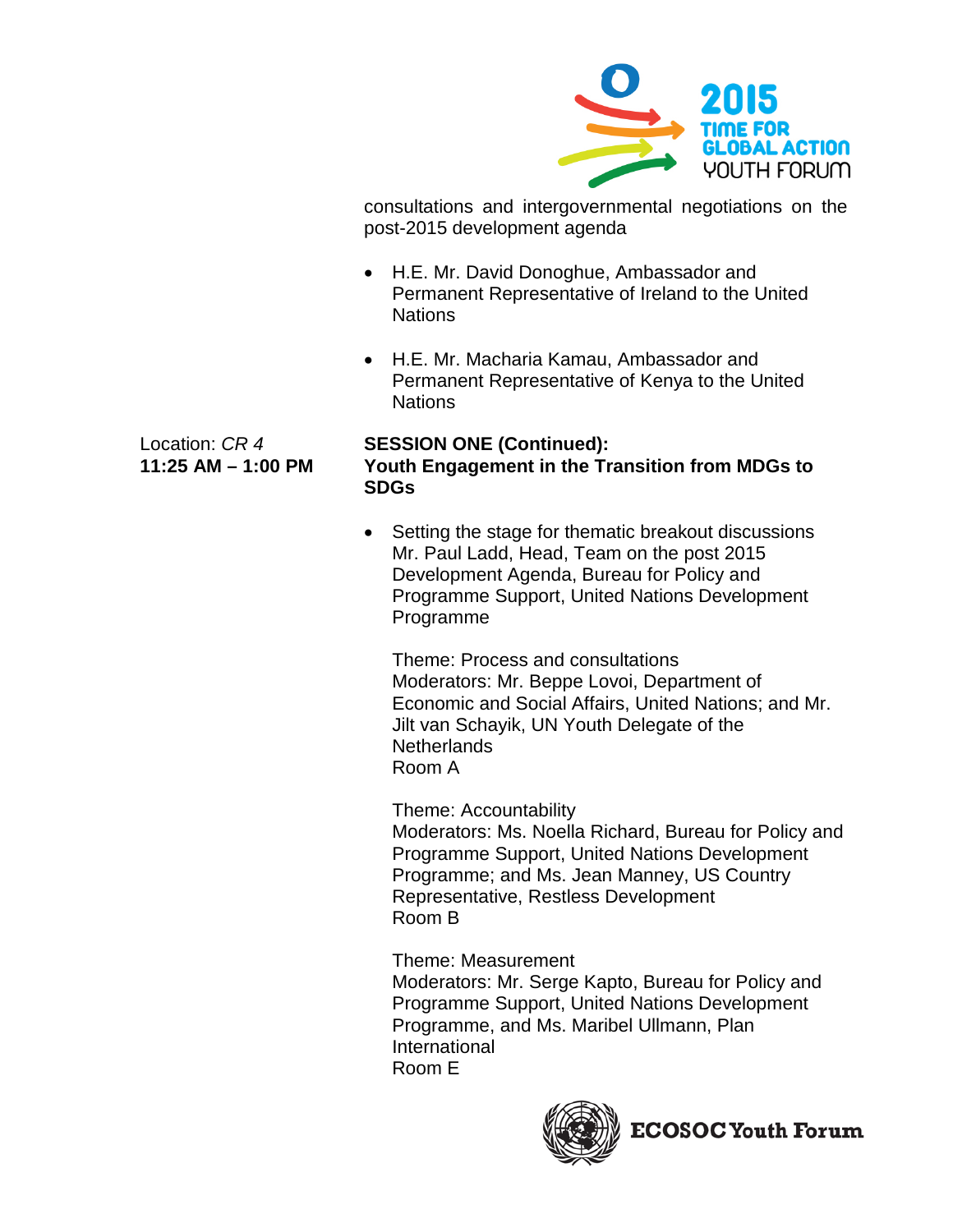

consultations and intergovernmental negotiations on the post-2015 development agenda

- H.E. Mr. David Donoghue, Ambassador and Permanent Representative of Ireland to the United Nations
- H.E. Mr. Macharia Kamau, Ambassador and Permanent Representative of Kenya to the United **Nations**

## Location: *CR 4* **SESSION ONE (Continued):**

# **11:25 AM – 1:00 PM Youth Engagement in the Transition from MDGs to SDGs**

• Setting the stage for thematic breakout discussions Mr. Paul Ladd, Head, Team on the post 2015 Development Agenda, Bureau for Policy and Programme Support, United Nations Development Programme

Theme: Process and consultations Moderators: Mr. Beppe Lovoi, Department of Economic and Social Affairs, United Nations; and Mr. Jilt van Schayik, UN Youth Delegate of the **Netherlands** Room A

Theme: Accountability

Moderators: Ms. Noella Richard, Bureau for Policy and Programme Support, United Nations Development Programme; and Ms. Jean Manney, US Country Representative, Restless Development Room B

Theme: Measurement Moderators: Mr. Serge Kapto, Bureau for Policy and Programme Support, United Nations Development Programme, and Ms. Maribel Ullmann, Plan International Room E

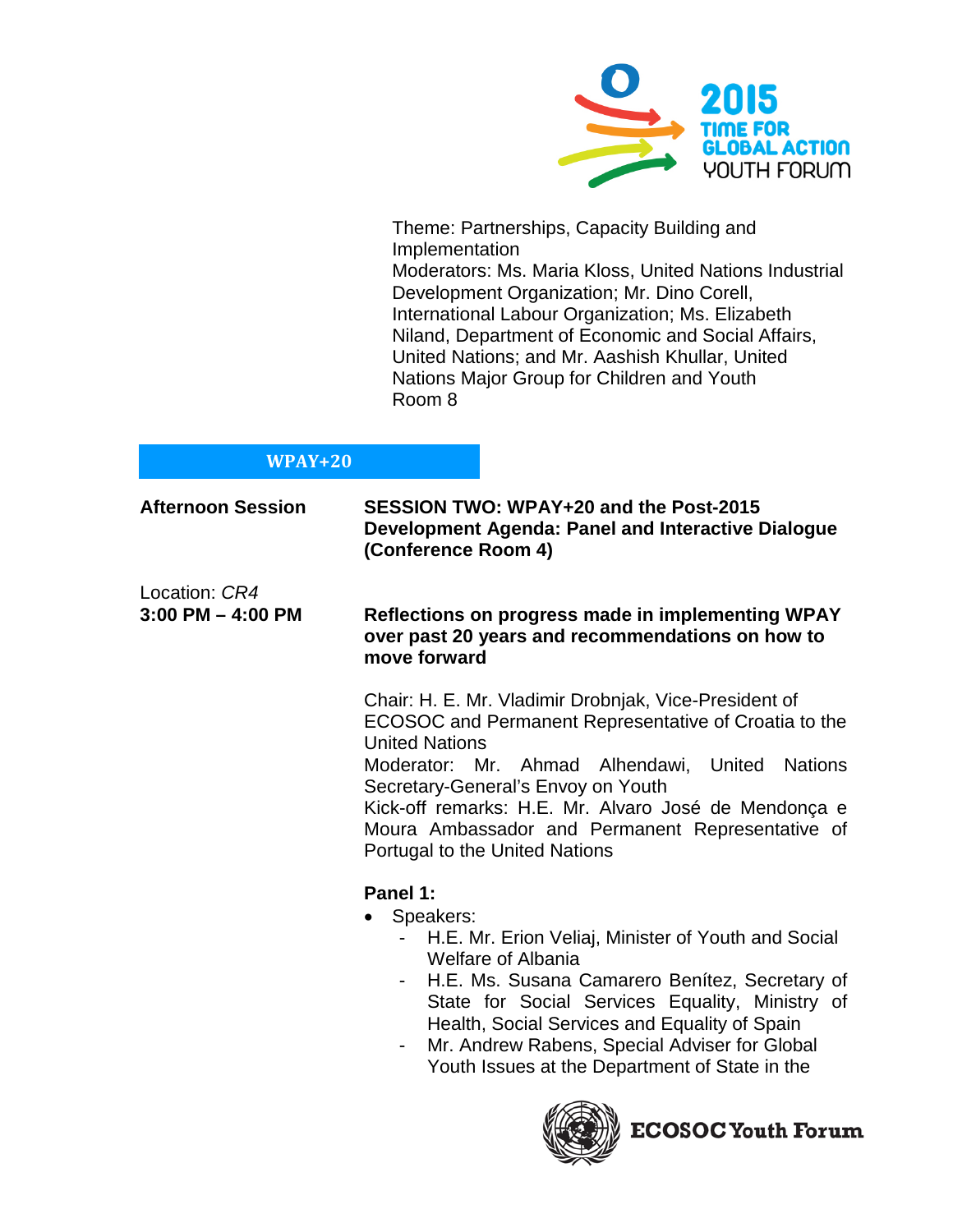

Theme: Partnerships, Capacity Building and Implementation Moderators: Ms. Maria Kloss, United Nations Industrial Development Organization; Mr. Dino Corell, International Labour Organization; Ms. Elizabeth Niland, Department of Economic and Social Affairs, United Nations; and Mr. Aashish Khullar, United Nations Major Group for Children and Youth Room 8

# **WPAY+20**

| <b>Afternoon Session</b>               | SESSION TWO: WPAY+20 and the Post-2015<br>Development Agenda: Panel and Interactive Dialogue<br>(Conference Room 4)                                                                                                                                                                                                                                                                                         |
|----------------------------------------|-------------------------------------------------------------------------------------------------------------------------------------------------------------------------------------------------------------------------------------------------------------------------------------------------------------------------------------------------------------------------------------------------------------|
| Location: CR4<br>$3:00$ PM $-$ 4:00 PM | Reflections on progress made in implementing WPAY<br>over past 20 years and recommendations on how to<br>move forward                                                                                                                                                                                                                                                                                       |
|                                        | Chair: H. E. Mr. Vladimir Drobnjak, Vice-President of<br>ECOSOC and Permanent Representative of Croatia to the<br><b>United Nations</b><br>Moderator: Mr. Ahmad Alhendawi, United Nations<br>Secretary-General's Envoy on Youth<br>Kick-off remarks: H.E. Mr. Alvaro José de Mendonça e<br>Moura Ambassador and Permanent Representative of<br>Portugal to the United Nations                               |
|                                        | Panel 1:<br>Speakers:<br>$\bullet$<br>H.E. Mr. Erion Veliaj, Minister of Youth and Social<br><b>Welfare of Albania</b><br>H.E. Ms. Susana Camarero Benitez, Secretary of<br>$\sim$<br>State for Social Services Equality, Ministry of<br>Health, Social Services and Equality of Spain<br>Mr. Andrew Rabens, Special Adviser for Global<br>$\blacksquare$<br>Youth Issues at the Department of State in the |

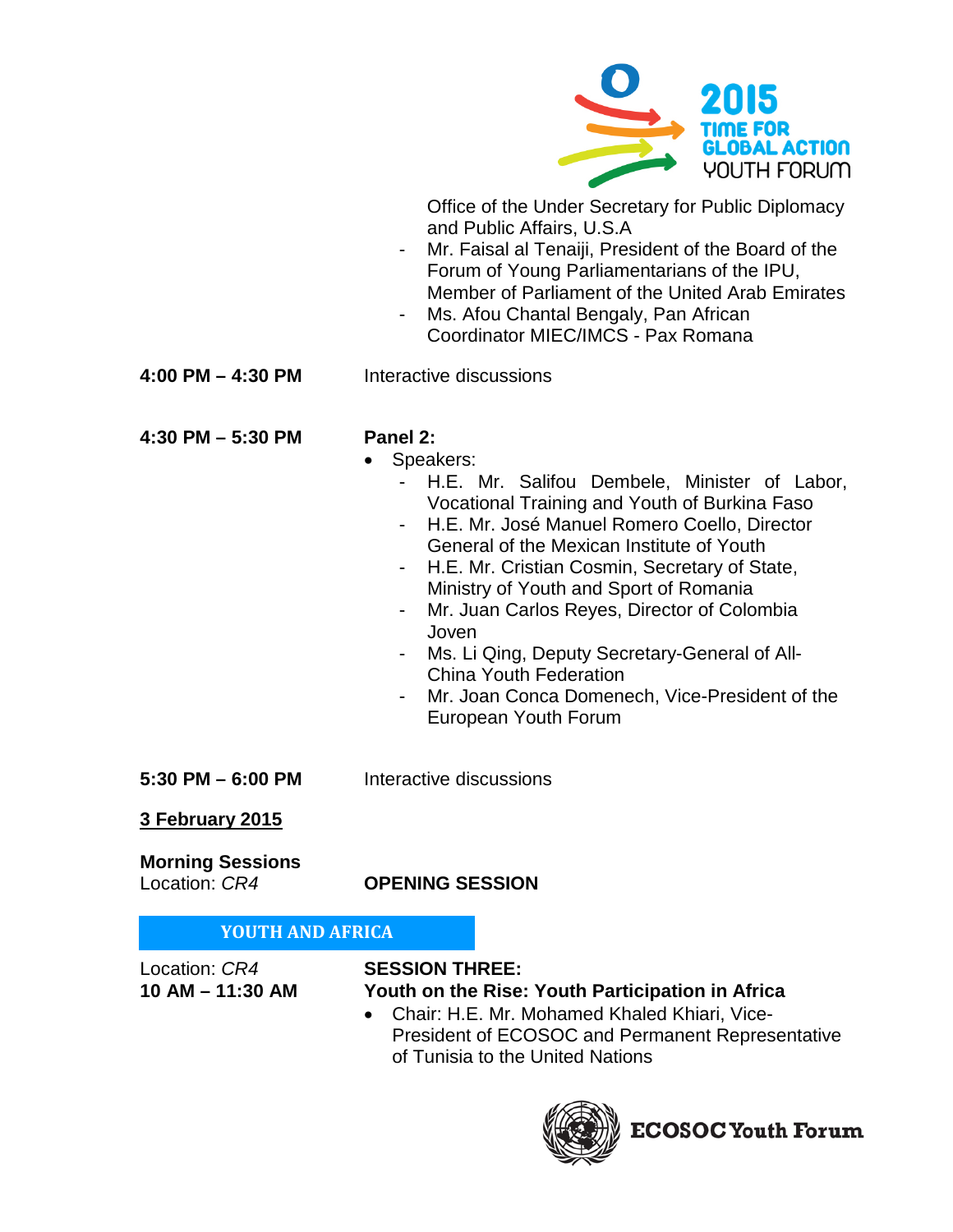

Office of the Under Secretary for Public Diplomacy and Public Affairs, U.S.A

- Mr. Faisal al Tenaiji, President of the Board of the Forum of Young Parliamentarians of the IPU, Member of Parliament of the United Arab Emirates
- Ms. Afou Chantal Bengaly, Pan African Coordinator MIEC/IMCS - Pax Romana
- **4:00 PM – 4:30 PM** Interactive discussions

**4:30 PM – 5:30 PM Panel 2:**

- 
- Speakers:
	- H.E. Mr. Salifou Dembele, Minister of Labor, Vocational Training and Youth of Burkina Faso
	- H.E. Mr. José Manuel Romero Coello, Director General of the Mexican Institute of Youth
	- H.E. Mr. Cristian Cosmin, Secretary of State, Ministry of Youth and Sport of Romania
	- Mr. Juan Carlos Reyes, Director of Colombia Joven
	- Ms. Li Qing, Deputy Secretary-General of All-China Youth Federation
	- Mr. Joan Conca Domenech, Vice-President of the European Youth Forum
- **5:30 PM – 6:00 PM** Interactive discussions

# **3 February 2015**

**Morning Sessions**<br>Location: *CR4* 

Location: *CR4* **OPENING SESSION**

# **YOUTH AND AFRICA**

Location: *CR4* **SESSION THREE:**

# **10 AM – 11:30 AM Youth on the Rise: Youth Participation in Africa**

• Chair: H.E. Mr. Mohamed Khaled Khiari, Vice-President of ECOSOC and Permanent Representative of Tunisia to the United Nations

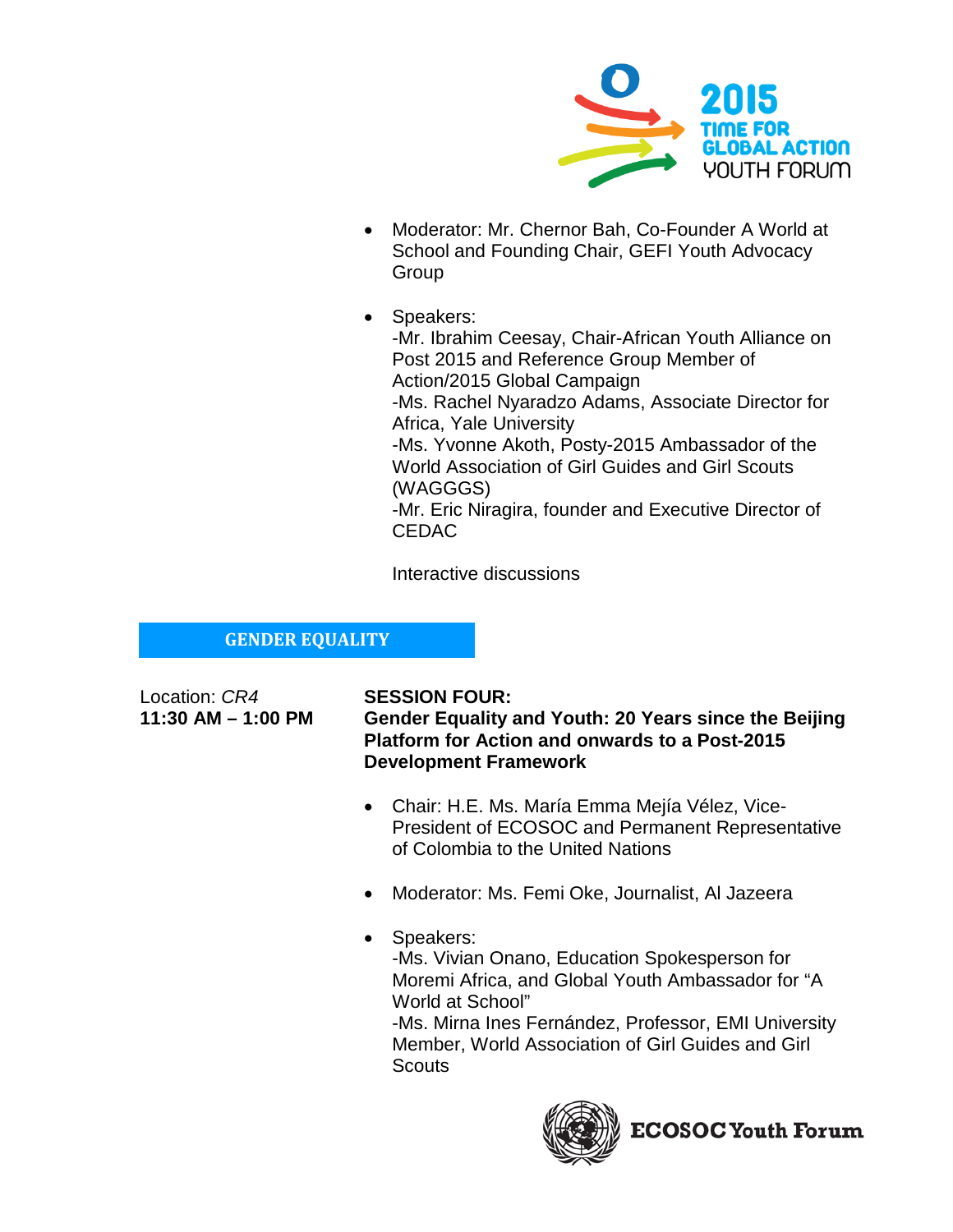

- Moderator: Mr. Chernor Bah, Co-Founder A World at School and Founding Chair, GEFI Youth Advocacy Group
- Speakers:

-Mr. Ibrahim Ceesay, Chair-African Youth Alliance on Post 2015 and Reference Group Member of Action/2015 Global Campaign -Ms. Rachel Nyaradzo Adams, Associate Director for Africa, Yale University -Ms. Yvonne Akoth, Posty-2015 Ambassador of the World Association of Girl Guides and Girl Scouts (WAGGGS) -Mr. Eric Niragira, founder and Executive Director of CEDAC

Interactive discussions

# **GENDER EQUALITY**

Location: *CR4* **SESSION FOUR:**

**11:30 AM – 1:00 PM Gender Equality and Youth: 20 Years since the Beijing Platform for Action and onwards to a Post-2015 Development Framework**

- Chair: H.E. Ms. María Emma Mejía Vélez, Vice-President of ECOSOC and Permanent Representative of Colombia to the United Nations
- Moderator: Ms. Femi Oke, Journalist, Al Jazeera
- Speakers: -Ms. Vivian Onano, Education Spokesperson for Moremi Africa, and Global Youth Ambassador for "A World at School" -Ms. Mirna Ines Fernández, Professor, EMI University Member, World Association of Girl Guides and Girl **Scouts**

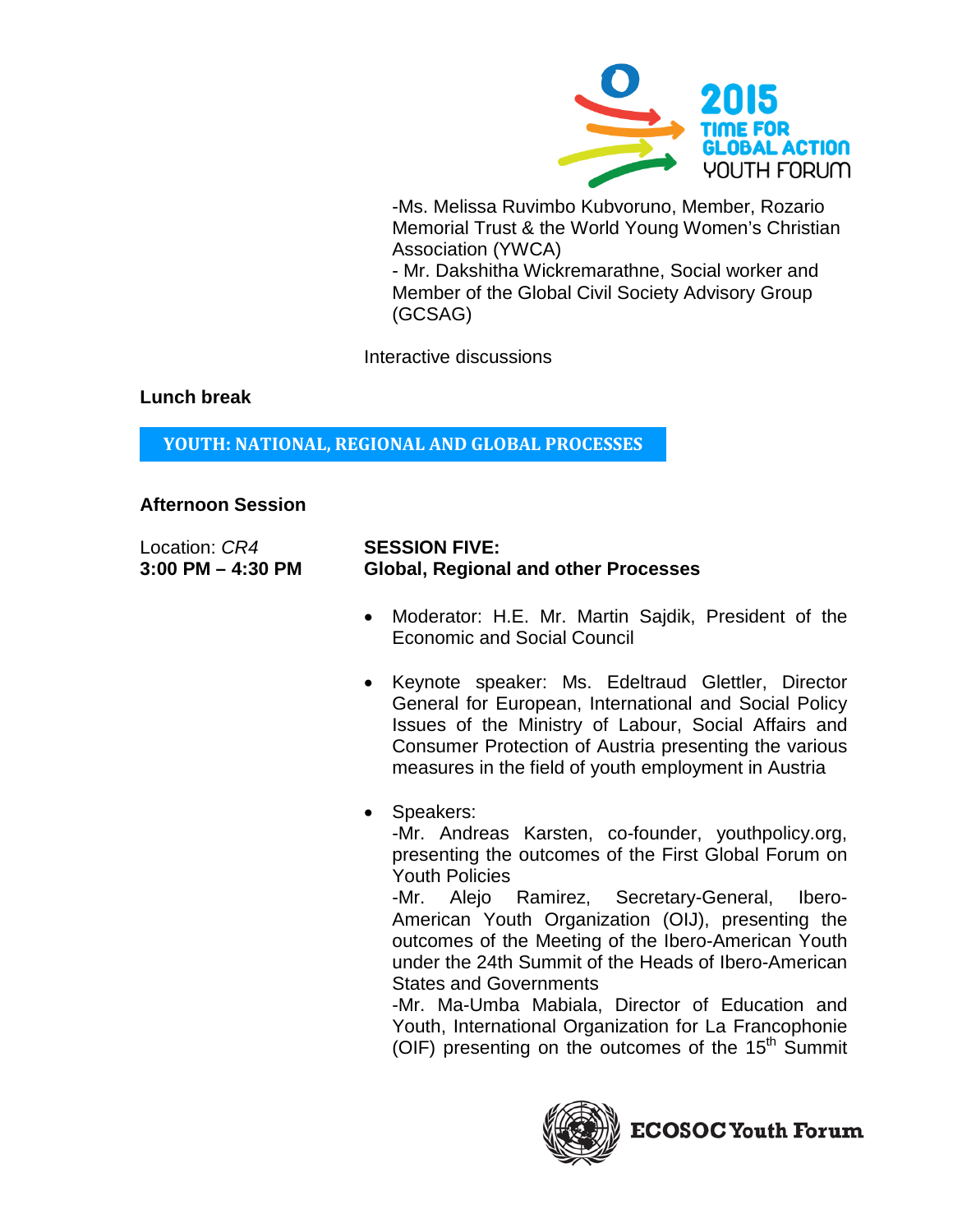

-Ms. Melissa Ruvimbo Kubvoruno, Member, Rozario Memorial Trust & the World Young Women's Christian Association (YWCA)

- Mr. Dakshitha Wickremarathne, Social worker and Member of the Global Civil Society Advisory Group (GCSAG)

Interactive discussions

## **Lunch break**

**YOUTH: NATIONAL, REGIONAL AND GLOBAL PROCESSES**

# **Afternoon Session**

| Location: CR4         | <b>SESSION FIVE:</b>                        |
|-----------------------|---------------------------------------------|
| $3:00$ PM $-$ 4:30 PM | <b>Global, Regional and other Processes</b> |

- Moderator: H.E. Mr. Martin Sajdik, President of the Economic and Social Council
- Keynote speaker: Ms. Edeltraud Glettler, Director General for European, International and Social Policy Issues of the Ministry of Labour, Social Affairs and Consumer Protection of Austria presenting the various measures in the field of youth employment in Austria
- Speakers:

-Mr. Andreas Karsten, co-founder, youthpolicy.org, presenting the outcomes of the First Global Forum on Youth Policies

-Mr. Alejo Ramirez, Secretary-General, Ibero-American Youth Organization (OIJ), presenting the outcomes of the Meeting of the Ibero-American Youth under the 24th Summit of the Heads of Ibero-American States and Governments

-Mr. Ma-Umba Mabiala, Director of Education and Youth, International Organization for La Francophonie (OIF) presenting on the outcomes of the  $15<sup>th</sup>$  Summit

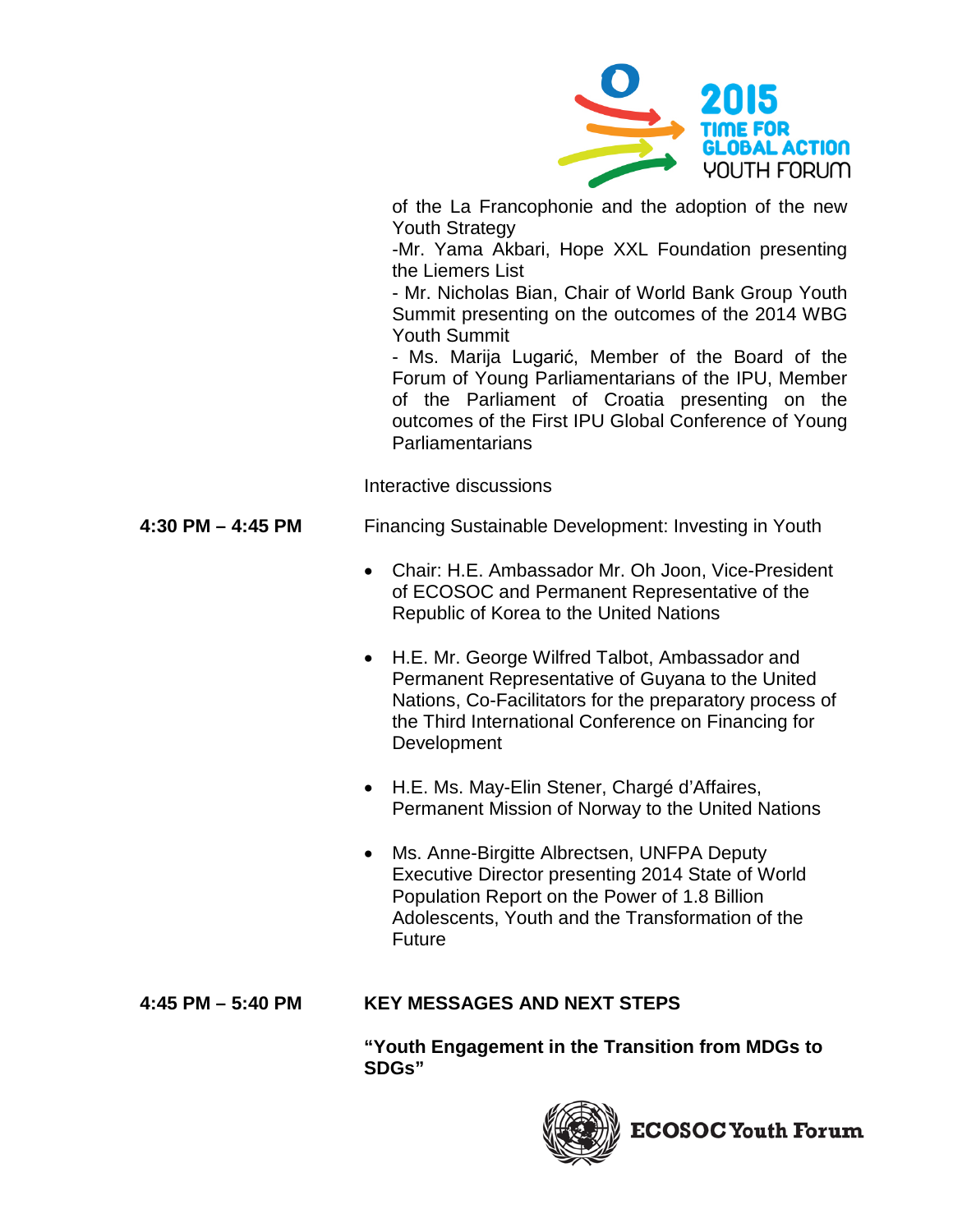

of the La Francophonie and the adoption of the new Youth Strategy

-Mr. Yama Akbari, Hope XXL Foundation presenting the Liemers List

- Mr. Nicholas Bian, Chair of World Bank Group Youth Summit presenting on the outcomes of the 2014 WBG Youth Summit

- Ms. Marija Lugarić, Member of the Board of the Forum of Young Parliamentarians of the IPU, Member of the Parliament of Croatia presenting on the outcomes of the First IPU Global Conference of Young Parliamentarians

Interactive discussions

# **4:30 PM – 4:45 PM** Financing Sustainable Development: Investing in Youth

- Chair: H.E. Ambassador Mr. Oh Joon, Vice-President of ECOSOC and Permanent Representative of the Republic of Korea to the United Nations
- H.E. Mr. George Wilfred Talbot, Ambassador and Permanent Representative of Guyana to the United Nations, Co-Facilitators for the preparatory process of the Third International Conference on Financing for **Development**
- H.E. Ms. May-Elin Stener, Chargé d'Affaires, Permanent Mission of Norway to the United Nations
- Ms. Anne-Birgitte Albrectsen, UNFPA Deputy Executive Director presenting 2014 State of World Population Report on the Power of 1.8 Billion Adolescents, Youth and the Transformation of the Future

# **4:45 PM – 5:40 PM KEY MESSAGES AND NEXT STEPS**

**"Youth Engagement in the Transition from MDGs to SDGs"**